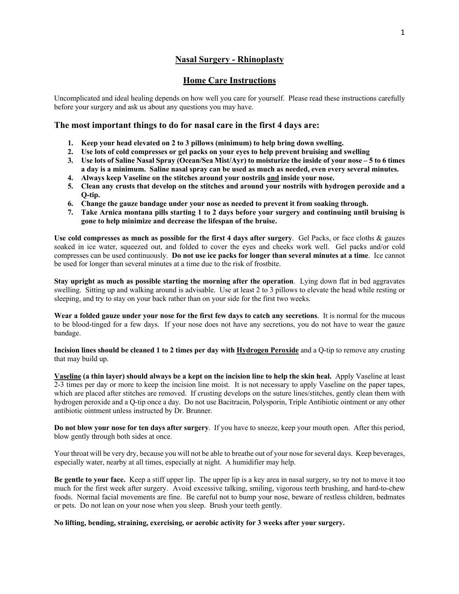# **Nasal Surgery - Rhinoplasty**

# **Home Care Instructions**

Uncomplicated and ideal healing depends on how well you care for yourself. Please read these instructions carefully before your surgery and ask us about any questions you may have.

# **The most important things to do for nasal care in the first 4 days are:**

- **1. Keep your head elevated on 2 to 3 pillows (minimum) to help bring down swelling.**
- **2. Use lots of cold compresses or gel packs on your eyes to help prevent bruising and swelling**
- **3. Use lots of Saline Nasal Spray (Ocean/Sea Mist/Ayr) to moisturize the inside of your nose – 5 to 6 times a day is a minimum. Saline nasal spray can be used as much as needed, even every several minutes.**
- **4. Always keep Vaseline on the stitches around your nostrils and inside your nose.**
- **5. Clean any crusts that develop on the stitches and around your nostrils with hydrogen peroxide and a Q-tip.**
- **6. Change the gauze bandage under your nose as needed to prevent it from soaking through.**
- **7. Take Arnica montana pills starting 1 to 2 days before your surgery and continuing until bruising is gone to help minimize and decrease the lifespan of the bruise.**

**Use cold compresses as much as possible for the first 4 days after surgery**. Gel Packs, or face cloths & gauzes soaked in ice water, squeezed out, and folded to cover the eyes and cheeks work well. Gel packs and/or cold compresses can be used continuously. **Do not use ice packs for longer than several minutes at a time**. Ice cannot be used for longer than several minutes at a time due to the risk of frostbite.

**Stay upright as much as possible starting the morning after the operation**. Lying down flat in bed aggravates swelling. Sitting up and walking around is advisable. Use at least 2 to 3 pillows to elevate the head while resting or sleeping, and try to stay on your back rather than on your side for the first two weeks.

**Wear a folded gauze under your nose for the first few days to catch any secretions**. It is normal for the mucous to be blood-tinged for a few days. If your nose does not have any secretions, you do not have to wear the gauze bandage.

**Incision lines should be cleaned 1 to 2 times per day with Hydrogen Peroxide** and a Q-tip to remove any crusting that may build up.

**Vaseline (a thin layer) should always be a kept on the incision line to help the skin heal.** Apply Vaseline at least 2-3 times per day or more to keep the incision line moist. It is not necessary to apply Vaseline on the paper tapes, which are placed after stitches are removed. If crusting develops on the suture lines/stitches, gently clean them with hydrogen peroxide and a Q-tip once a day. Do not use Bacitracin, Polysporin, Triple Antibiotic ointment or any other antibiotic ointment unless instructed by Dr. Brunner.

**Do not blow your nose for ten days after surgery**. If you have to sneeze, keep your mouth open. After this period, blow gently through both sides at once.

Your throat will be very dry, because you will not be able to breathe out of your nose for several days. Keep beverages, especially water, nearby at all times, especially at night. A humidifier may help.

**Be gentle to your face.** Keep a stiff upper lip. The upper lip is a key area in nasal surgery, so try not to move it too much for the first week after surgery. Avoid excessive talking, smiling, vigorous teeth brushing, and hard-to-chew foods. Normal facial movements are fine. Be careful not to bump your nose, beware of restless children, bedmates or pets. Do not lean on your nose when you sleep. Brush your teeth gently.

#### **No lifting, bending, straining, exercising, or aerobic activity for 3 weeks after your surgery.**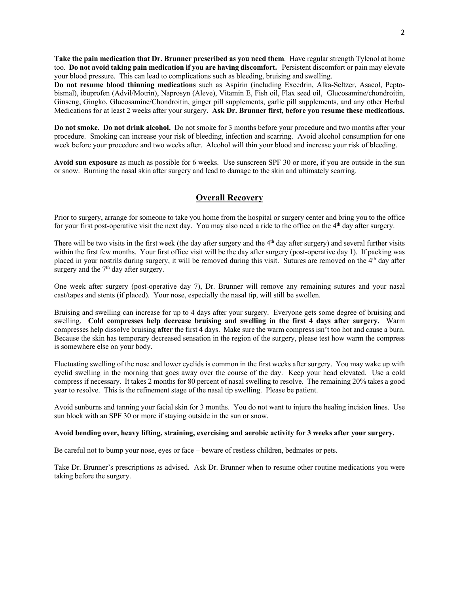**Take the pain medication that Dr. Brunner prescribed as you need them**. Have regular strength Tylenol at home too. **Do not avoid taking pain medication if you are having discomfort.** Persistent discomfort or pain may elevate your blood pressure. This can lead to complications such as bleeding, bruising and swelling.

**Do not resume blood thinning medications** such as Aspirin (including Excedrin, Alka-Seltzer, Asacol, Peptobismal), ibuprofen (Advil/Motrin), Naprosyn (Aleve), Vitamin E, Fish oil, Flax seed oil, Glucosamine/chondroitin, Ginseng, Gingko, Glucosamine/Chondroitin, ginger pill supplements, garlic pill supplements, and any other Herbal Medications for at least 2 weeks after your surgery. **Ask Dr. Brunner first, before you resume these medications.**

**Do not smoke. Do not drink alcohol.** Do not smoke for 3 months before your procedure and two months after your procedure. Smoking can increase your risk of bleeding, infection and scarring. Avoid alcohol consumption for one week before your procedure and two weeks after.Alcohol will thin your blood and increase your risk of bleeding.

**Avoid sun exposure** as much as possible for 6 weeks. Use sunscreen SPF 30 or more, if you are outside in the sun or snow. Burning the nasal skin after surgery and lead to damage to the skin and ultimately scarring.

# **Overall Recovery**

Prior to surgery, arrange for someone to take you home from the hospital or surgery center and bring you to the office for your first post-operative visit the next day. You may also need a ride to the office on the  $4<sup>th</sup>$  day after surgery.

There will be two visits in the first week (the day after surgery and the  $4<sup>th</sup>$  day after surgery) and several further visits within the first few months. Your first office visit will be the day after surgery (post-operative day 1). If packing was placed in your nostrils during surgery, it will be removed during this visit. Sutures are removed on the 4th day after surgery and the  $7<sup>th</sup>$  day after surgery.

One week after surgery (post-operative day 7), Dr. Brunner will remove any remaining sutures and your nasal cast/tapes and stents (if placed). Your nose, especially the nasal tip, will still be swollen.

Bruising and swelling can increase for up to 4 days after your surgery. Everyone gets some degree of bruising and swelling. **Cold compresses help decrease bruising and swelling in the first 4 days after surgery.** Warm compresses help dissolve bruising **after** the first 4 days. Make sure the warm compress isn't too hot and cause a burn. Because the skin has temporary decreased sensation in the region of the surgery, please test how warm the compress is somewhere else on your body.

Fluctuating swelling of the nose and lower eyelids is common in the first weeks after surgery. You may wake up with eyelid swelling in the morning that goes away over the course of the day. Keep your head elevated. Use a cold compress if necessary. It takes 2 months for 80 percent of nasal swelling to resolve. The remaining 20% takes a good year to resolve. This is the refinement stage of the nasal tip swelling. Please be patient.

Avoid sunburns and tanning your facial skin for 3 months. You do not want to injure the healing incision lines. Use sun block with an SPF 30 or more if staying outside in the sun or snow.

#### **Avoid bending over, heavy lifting, straining, exercising and aerobic activity for 3 weeks after your surgery.**

Be careful not to bump your nose, eyes or face – beware of restless children, bedmates or pets.

Take Dr. Brunner's prescriptions as advised. Ask Dr. Brunner when to resume other routine medications you were taking before the surgery.